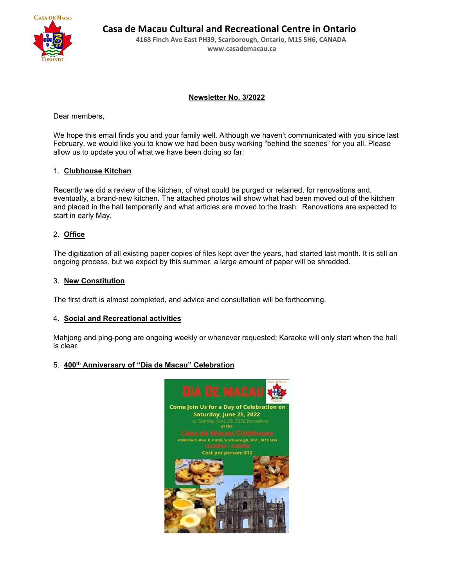

 **Casa de Macau Cultural and Recreational Centre in Ontario**

 **4168 Finch Ave East PH39, Scarborough, Ontario, M1S 5H6, CANADA [www.casademacau.ca](http://www.casademacau.ca/)**

# **Newsletter No. 3/2022**

Dear members,

We hope this email finds you and your family well. Although we haven't communicated with you since last February, we would like you to know we had been busy working "behind the scenes" for you all. Please allow us to update you of what we have been doing so far:

# 1. **Clubhouse Kitchen**

Recently we did a review of the kitchen, of what could be purged or retained, for renovations and, eventually, a brand-new kitchen. The attached photos will show what had been moved out of the kitchen and placed in the hall temporarily and what articles are moved to the trash. Renovations are expected to start in early May.

# 2. **Office**

The digitization of all existing paper copies of files kept over the years, had started last month. It is still an ongoing process, but we expect by this summer, a large amount of paper will be shredded.

## 3. **New Constitution**

The first draft is almost completed, and advice and consultation will be forthcoming.

### 4. **Social and Recreational activities**

Mahjong and ping-pong are ongoing weekly or whenever requested; Karaoke will only start when the hall is clear.

# 5. **400th Anniversary of "Dia de Macau" Celebration**